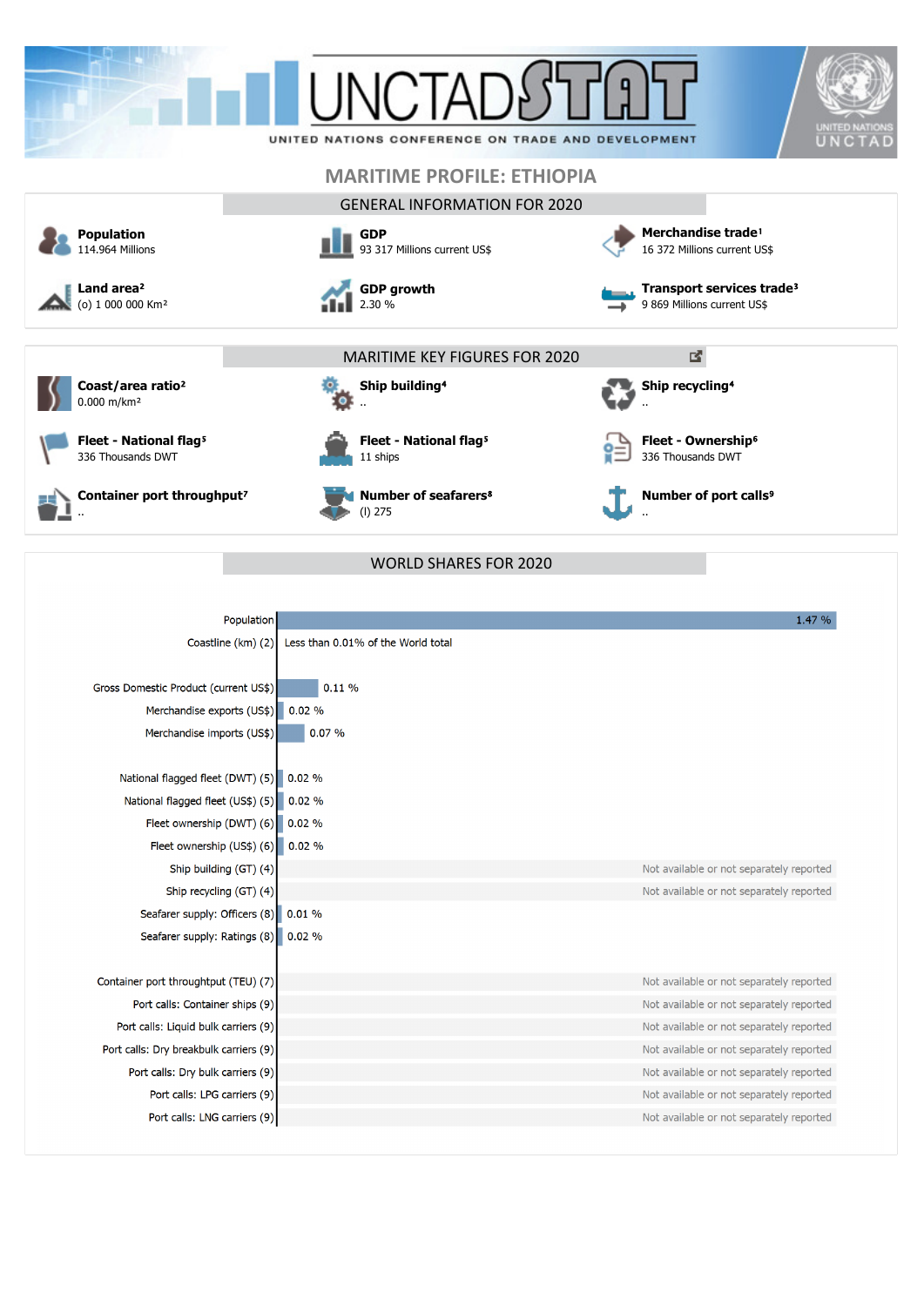



**Fleet - National flag<sup>5</sup>** 

**Coast/area ratio**²



..

**Container port throughput<sup>7</sup>** 

|  | Ship building <sup>4</sup> |
|--|----------------------------|
|  |                            |

ť

**Fleet - National flag<sup>5</sup>** 11 ships

**Number of seafarers**⁸ (l) 275

WORLD SHARES FOR 2020

**Number of port calls<sup>9</sup>** 

**Fleet - Ownership<sup>6</sup>** 336 Thousands DWT

**Ship recycling<sup>4</sup>** 

..

..

| Population                             |                                    | 1.47 %                                   |
|----------------------------------------|------------------------------------|------------------------------------------|
| Coastline (km) (2)                     | Less than 0.01% of the World total |                                          |
| Gross Domestic Product (current US\$)  | 0.11%                              |                                          |
| Merchandise exports (US\$)             | 0.02%                              |                                          |
| Merchandise imports (US\$)             | 0.07%                              |                                          |
| National flagged fleet (DWT) (5)       | 0.02%                              |                                          |
| National flagged fleet (US\$) (5)      | 0.02%                              |                                          |
| Fleet ownership (DWT) (6)              | 0.02%                              |                                          |
| Fleet ownership (US\$) (6)             | 0.02%                              |                                          |
| Ship building (GT) (4)                 |                                    | Not available or not separately reported |
| Ship recycling (GT) (4)                |                                    | Not available or not separately reported |
| Seafarer supply: Officers (8)          | 0.01%                              |                                          |
| Seafarer supply: Ratings (8)           | 0.02%                              |                                          |
| Container port throughtput (TEU) (7)   |                                    | Not available or not separately reported |
| Port calls: Container ships (9)        |                                    | Not available or not separately reported |
| Port calls: Liquid bulk carriers (9)   |                                    | Not available or not separately reported |
| Port calls: Dry breakbulk carriers (9) |                                    | Not available or not separately reported |
| Port calls: Dry bulk carriers (9)      |                                    | Not available or not separately reported |
| Port calls: LPG carriers (9)           |                                    | Not available or not separately reported |
| Port calls: LNG carriers (9)           |                                    | Not available or not separately reported |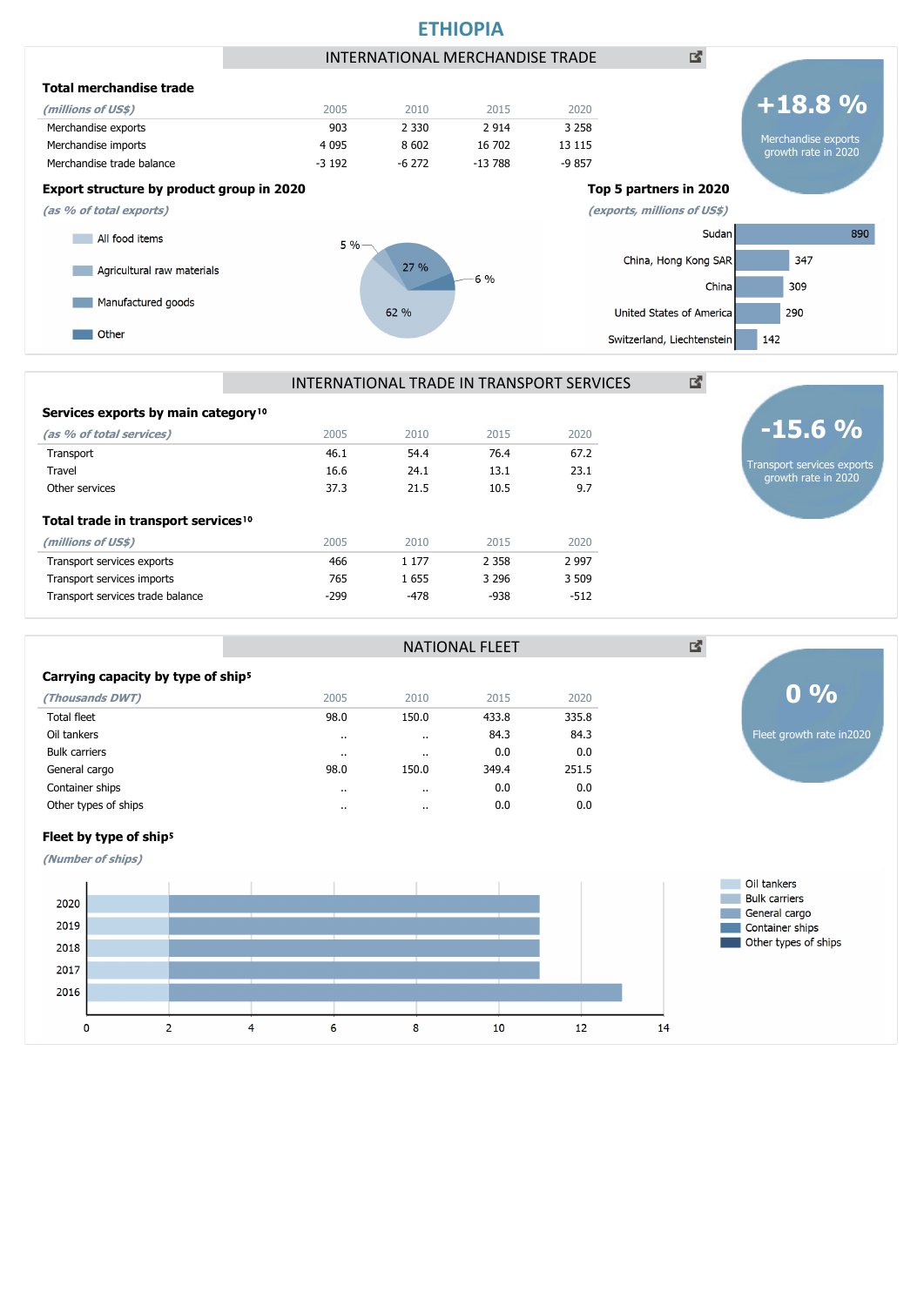



NATIONAL FLEET

## Services exports by main category<sup>10</sup>

| (as % of total services)                        | 2005   | 2010    | 2015    | 2020    |
|-------------------------------------------------|--------|---------|---------|---------|
| Transport                                       | 46.1   | 54.4    | 76.4    | 67.2    |
| Travel                                          | 16.6   | 24.1    | 13.1    | 23.1    |
| Other services                                  | 37.3   | 21.5    | 10.5    | 9.7     |
| Total trade in transport services <sup>10</sup> |        |         |         |         |
| (millions of US\$)                              | 2005   | 2010    | 2015    | 2020    |
| Transport services exports                      | 466    | 1 1 7 7 | 2 3 5 8 | 2 9 9 7 |
| Transport services imports                      | 765    | 1655    | 3 2 9 6 | 3 509   |
| Transport services trade balance                | $-299$ | -478    | -938    | $-512$  |

# Carrying capacity by type of ship<sup>5</sup>

| (Thousands DWT)      | 2005    | 2010      | 2015  | 2020  |
|----------------------|---------|-----------|-------|-------|
| Total fleet          | 98.0    | 150.0     | 433.8 | 335.8 |
| Oil tankers          | $\cdot$ | $\cdot$   | 84.3  | 84.3  |
| <b>Bulk carriers</b> |         | $\cdot$ . | 0.0   | 0.0   |
| General cargo        | 98.0    | 150.0     | 349.4 | 251.5 |
| Container ships      | $\cdot$ | $\cdot$   | 0.0   | 0.0   |
| Other types of ships | $\cdot$ | $\cdot$   | 0.0   | 0.0   |
|                      |         |           |       |       |



**(Number of ships)**



Fleet growth rate in2020

**0 %**

図

Transport services exports growth rate in 2020

**-15.6 %**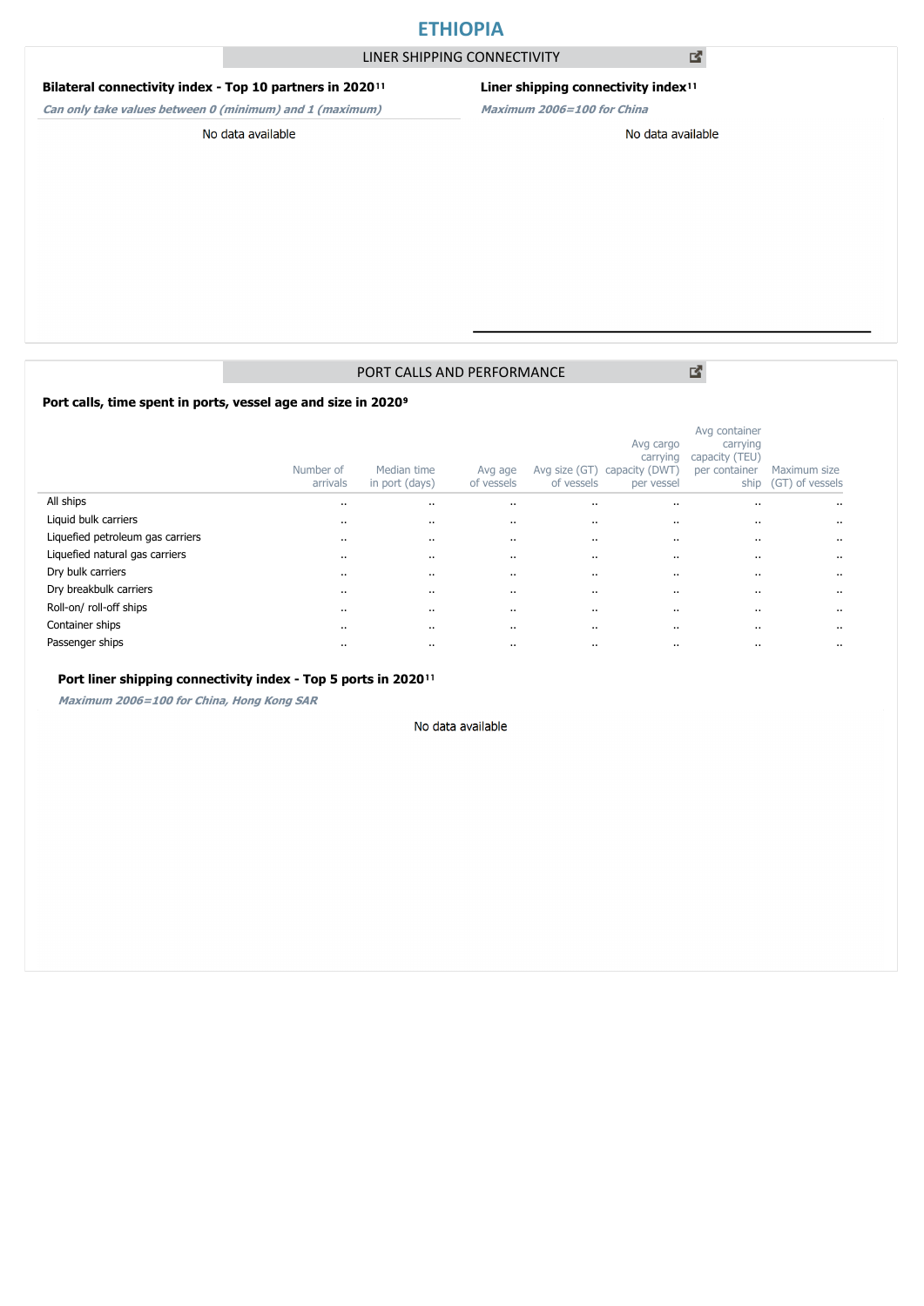# **ETHIOPIA**

LINER SHIPPING CONNECTIVITY

### **Bilateral connectivity index - Top 10 partners in 2020**<sup>11</sup>

**Can only take values between 0 (minimum) and 1 (maximum)**

## Liner shipping connectivity index<sup>11</sup>

**Maximum 2006=100 for China**

No data available

#### No data available

## PORT CALLS AND PERFORMANCE

Port calls, time spent in ports, vessel age and size in 2020<sup>9</sup>

|                                  | Number of<br>arrivals | Median time<br>in port (days) | Avg age<br>of vessels | Avg size (GT)<br>of vessels | Avg cargo<br>carrying<br>capacity (DWT)<br>per vessel | Avg container<br>carrying<br>capacity (TEU)<br>per container<br>ship | Maximum size<br>(GT) of vessels |
|----------------------------------|-----------------------|-------------------------------|-----------------------|-----------------------------|-------------------------------------------------------|----------------------------------------------------------------------|---------------------------------|
| All ships                        | $\cdots$              | $\cdots$                      | $\cdot$ .             |                             | $\ddotsc$                                             |                                                                      | $\cdots$                        |
| Liquid bulk carriers             | $\cdots$              | $\cdots$                      | $\cdots$              |                             |                                                       | $\cdots$                                                             | $\cdots$                        |
| Liquefied petroleum gas carriers | $\cdots$              | $\cdots$                      | $\cdots$              |                             |                                                       | $\cdots$                                                             |                                 |
| Liquefied natural gas carriers   | $\cdots$              | $\cdots$                      | $\cdots$              | $\cdots$                    | $\cdots$                                              | $\cdots$                                                             | $\cdots$                        |
| Dry bulk carriers                | $\cdot$ .             | $\cdots$                      |                       | $\cdots$                    | $\ddotsc$                                             | $\cdot$ .                                                            | $\ddotsc$                       |
| Dry breakbulk carriers           | $\cdots$              | $\cdots$                      | $\cdots$              | $\cdots$                    | $\cdots$                                              | $\cdots$                                                             | $\cdots$                        |
| Roll-on/ roll-off ships          | $\cdot$ .             |                               | $\ddot{\phantom{a}}$  | $\cdots$                    | $\ddotsc$                                             | $\cdot$ .                                                            |                                 |
| Container ships                  | $\cdots$              | $\cdots$                      | $\cdots$              |                             |                                                       | $\cdots$                                                             | $\cdots$                        |
| Passenger ships                  | $\cdots$              | $\cdots$                      | $\cdots$              |                             |                                                       |                                                                      | $\cdots$                        |

#### Port liner shipping connectivity index - Top 5 ports in 2020<sup>11</sup>

**Maximum 2006=100 for China, Hong Kong SAR**

#### No data available

図

國